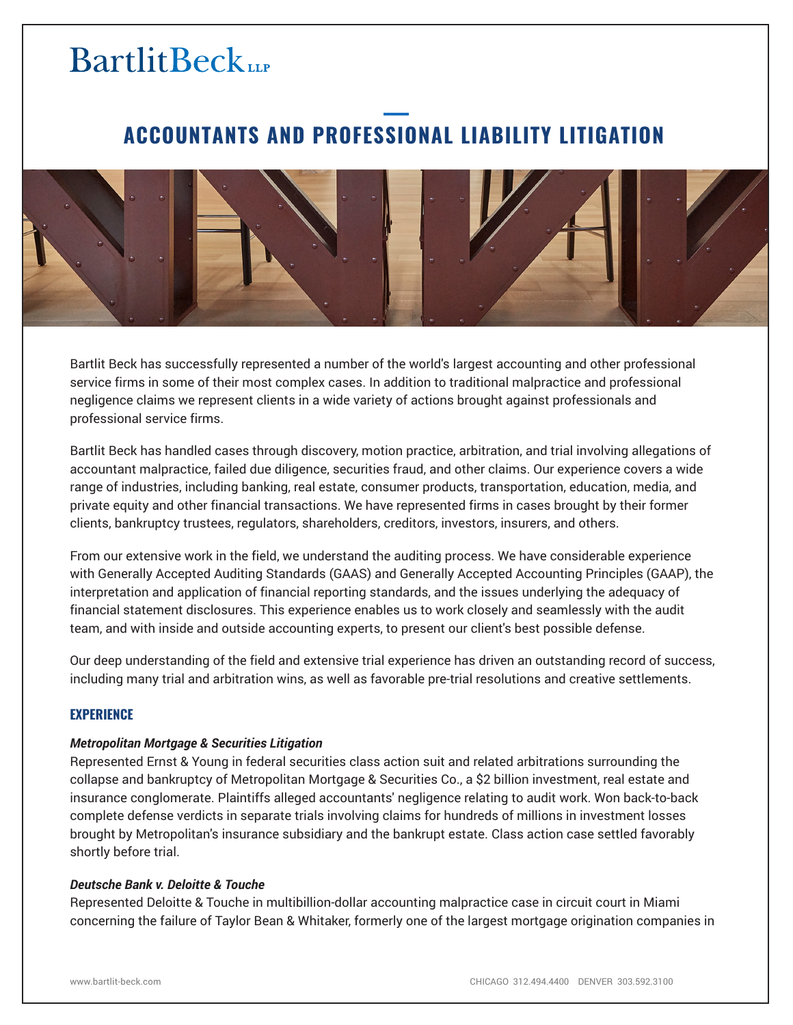## **ACCOUNTANTS AND PROFESSIONAL LIABILITY LITIGATION**



Bartlit Beck has successfully represented a number of the world's largest accounting and other professional service firms in some of their most complex cases. In addition to traditional malpractice and professional negligence claims we represent clients in a wide variety of actions brought against professionals and professional service firms.

Bartlit Beck has handled cases through discovery, motion practice, arbitration, and trial involving allegations of accountant malpractice, failed due diligence, securities fraud, and other claims. Our experience covers a wide range of industries, including banking, real estate, consumer products, transportation, education, media, and private equity and other financial transactions. We have represented firms in cases brought by their former clients, bankruptcy trustees, regulators, shareholders, creditors, investors, insurers, and others.

From our extensive work in the field, we understand the auditing process. We have considerable experience with Generally Accepted Auditing Standards (GAAS) and Generally Accepted Accounting Principles (GAAP), the interpretation and application of financial reporting standards, and the issues underlying the adequacy of financial statement disclosures. This experience enables us to work closely and seamlessly with the audit team, and with inside and outside accounting experts, to present our client's best possible defense.

Our deep understanding of the field and extensive trial experience has driven an outstanding record of success, including many trial and arbitration wins, as well as favorable pre-trial resolutions and creative settlements.

### **EXPERIENCE**

### *Metropolitan Mortgage & Securities Litigation*

Represented Ernst & Young in federal securities class action suit and related arbitrations surrounding the collapse and bankruptcy of Metropolitan Mortgage & Securities Co., a \$2 billion investment, real estate and insurance conglomerate. Plaintiffs alleged accountants' negligence relating to audit work. Won back-to-back complete defense verdicts in separate trials involving claims for hundreds of millions in investment losses brought by Metropolitan's insurance subsidiary and the bankrupt estate. Class action case settled favorably shortly before trial.

#### *Deutsche Bank v. Deloitte & Touche*

Represented Deloitte & Touche in multibillion-dollar accounting malpractice case in circuit court in Miami concerning the failure of Taylor Bean & Whitaker, formerly one of the largest mortgage origination companies in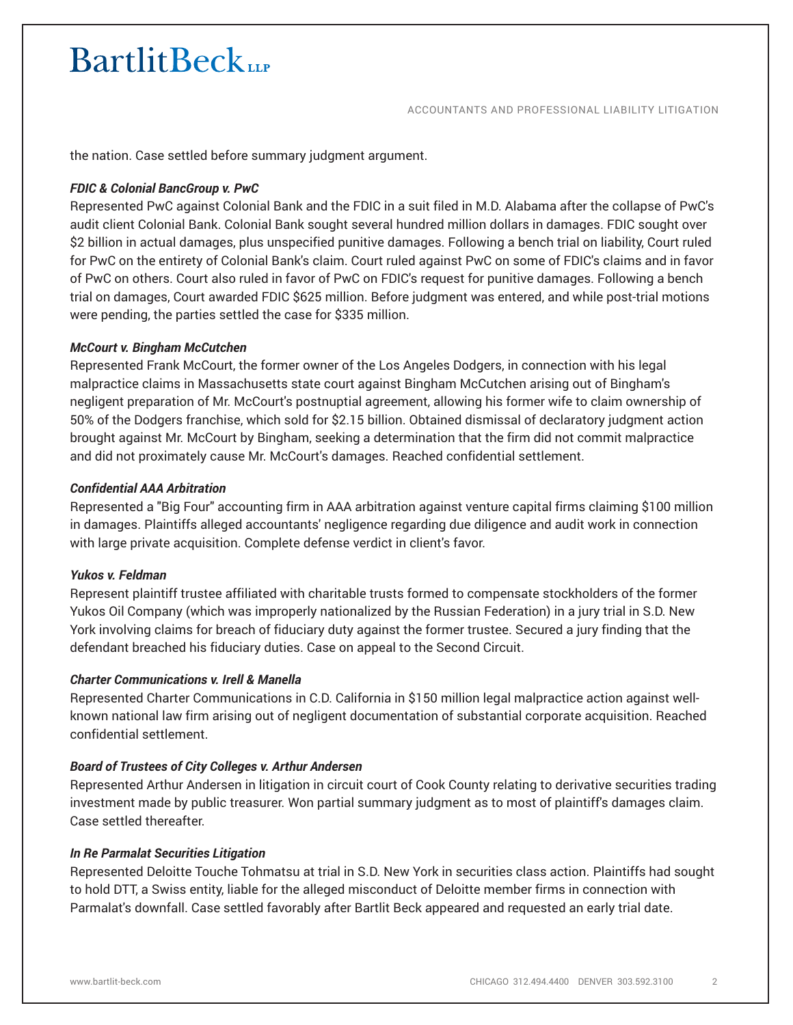ACCOUNTANTS AND PROFESSIONAL LIABILITY LITIGATION

the nation. Case settled before summary judgment argument.

### *FDIC & Colonial BancGroup v. PwC*

Represented PwC against Colonial Bank and the FDIC in a suit filed in M.D. Alabama after the collapse of PwC's audit client Colonial Bank. Colonial Bank sought several hundred million dollars in damages. FDIC sought over \$2 billion in actual damages, plus unspecified punitive damages. Following a bench trial on liability, Court ruled for PwC on the entirety of Colonial Bank's claim. Court ruled against PwC on some of FDIC's claims and in favor of PwC on others. Court also ruled in favor of PwC on FDIC's request for punitive damages. Following a bench trial on damages, Court awarded FDIC \$625 million. Before judgment was entered, and while post-trial motions were pending, the parties settled the case for \$335 million.

### *McCourt v. Bingham McCutchen*

Represented Frank McCourt, the former owner of the Los Angeles Dodgers, in connection with his legal malpractice claims in Massachusetts state court against Bingham McCutchen arising out of Bingham's negligent preparation of Mr. McCourt's postnuptial agreement, allowing his former wife to claim ownership of 50% of the Dodgers franchise, which sold for \$2.15 billion. Obtained dismissal of declaratory judgment action brought against Mr. McCourt by Bingham, seeking a determination that the firm did not commit malpractice and did not proximately cause Mr. McCourt's damages. Reached confidential settlement.

### *Confidential AAA Arbitration*

Represented a "Big Four" accounting firm in AAA arbitration against venture capital firms claiming \$100 million in damages. Plaintiffs alleged accountants' negligence regarding due diligence and audit work in connection with large private acquisition. Complete defense verdict in client's favor.

### *Yukos v. Feldman*

Represent plaintiff trustee affiliated with charitable trusts formed to compensate stockholders of the former Yukos Oil Company (which was improperly nationalized by the Russian Federation) in a jury trial in S.D. New York involving claims for breach of fiduciary duty against the former trustee. Secured a jury finding that the defendant breached his fiduciary duties. Case on appeal to the Second Circuit.

### *Charter Communications v. Irell & Manella*

Represented Charter Communications in C.D. California in \$150 million legal malpractice action against wellknown national law firm arising out of negligent documentation of substantial corporate acquisition. Reached confidential settlement.

### *Board of Trustees of City Colleges v. Arthur Andersen*

Represented Arthur Andersen in litigation in circuit court of Cook County relating to derivative securities trading investment made by public treasurer. Won partial summary judgment as to most of plaintiff's damages claim. Case settled thereafter.

### *In Re Parmalat Securities Litigation*

Represented Deloitte Touche Tohmatsu at trial in S.D. New York in securities class action. Plaintiffs had sought to hold DTT, a Swiss entity, liable for the alleged misconduct of Deloitte member firms in connection with Parmalat's downfall. Case settled favorably after Bartlit Beck appeared and requested an early trial date.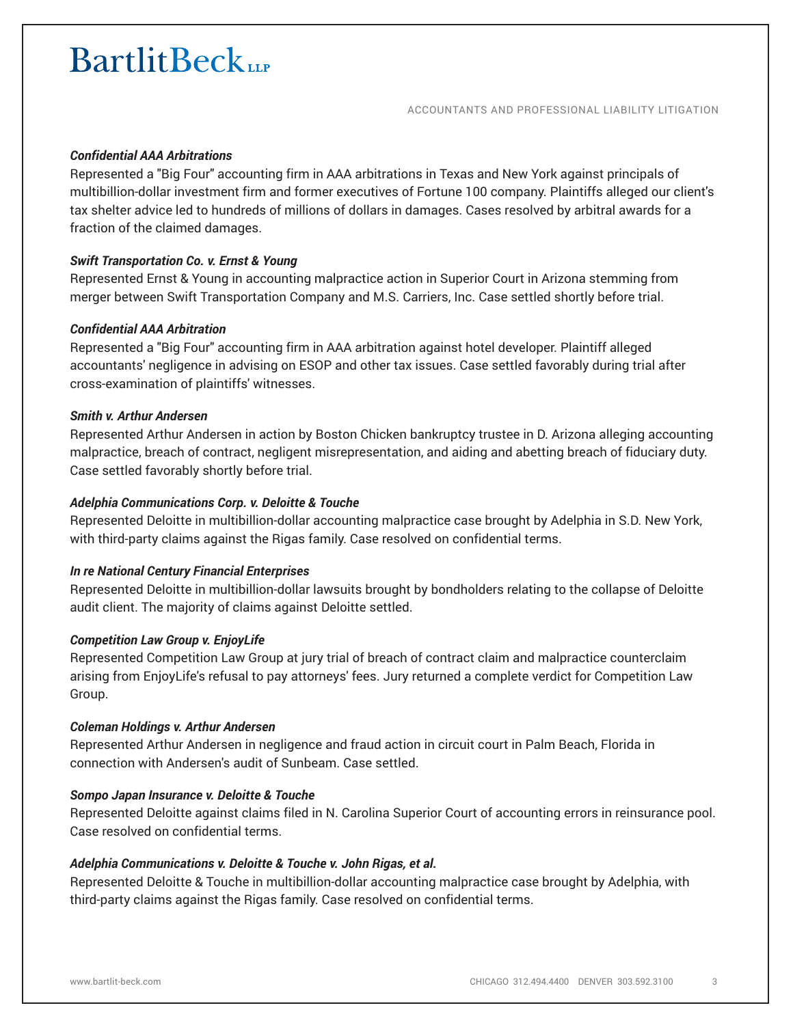ACCOUNTANTS AND PROFESSIONAL LIABILITY LITIGATION

### *Confidential AAA Arbitrations*

Represented a "Big Four" accounting firm in AAA arbitrations in Texas and New York against principals of multibillion-dollar investment firm and former executives of Fortune 100 company. Plaintiffs alleged our client's tax shelter advice led to hundreds of millions of dollars in damages. Cases resolved by arbitral awards for a fraction of the claimed damages.

### *Swift Transportation Co. v. Ernst & Young*

Represented Ernst & Young in accounting malpractice action in Superior Court in Arizona stemming from merger between Swift Transportation Company and M.S. Carriers, Inc. Case settled shortly before trial.

### *Confidential AAA Arbitration*

Represented a "Big Four" accounting firm in AAA arbitration against hotel developer. Plaintiff alleged accountants' negligence in advising on ESOP and other tax issues. Case settled favorably during trial after cross-examination of plaintiffs' witnesses.

#### *Smith v. Arthur Andersen*

Represented Arthur Andersen in action by Boston Chicken bankruptcy trustee in D. Arizona alleging accounting malpractice, breach of contract, negligent misrepresentation, and aiding and abetting breach of fiduciary duty. Case settled favorably shortly before trial.

#### *Adelphia Communications Corp. v. Deloitte & Touche*

Represented Deloitte in multibillion-dollar accounting malpractice case brought by Adelphia in S.D. New York, with third-party claims against the Rigas family. Case resolved on confidential terms.

### *In re National Century Financial Enterprises*

Represented Deloitte in multibillion-dollar lawsuits brought by bondholders relating to the collapse of Deloitte audit client. The majority of claims against Deloitte settled.

#### *Competition Law Group v. EnjoyLife*

Represented Competition Law Group at jury trial of breach of contract claim and malpractice counterclaim arising from EnjoyLife's refusal to pay attorneys' fees. Jury returned a complete verdict for Competition Law Group.

#### *Coleman Holdings v. Arthur Andersen*

Represented Arthur Andersen in negligence and fraud action in circuit court in Palm Beach, Florida in connection with Andersen's audit of Sunbeam. Case settled.

### *Sompo Japan Insurance v. Deloitte & Touche*

Represented Deloitte against claims filed in N. Carolina Superior Court of accounting errors in reinsurance pool. Case resolved on confidential terms.

### *Adelphia Communications v. Deloitte & Touche v. John Rigas, et al.*

Represented Deloitte & Touche in multibillion-dollar accounting malpractice case brought by Adelphia, with third-party claims against the Rigas family. Case resolved on confidential terms.